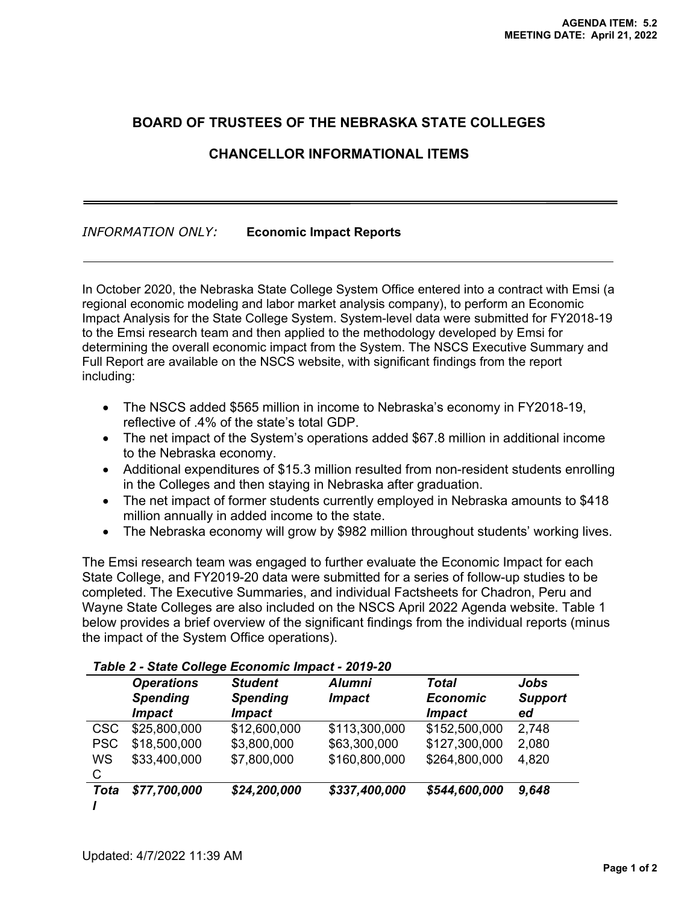## **BOARD OF TRUSTEES OF THE NEBRASKA STATE COLLEGES**

## **CHANCELLOR INFORMATIONAL ITEMS**

## *INFORMATION ONLY:* **Economic Impact Reports**

In October 2020, the Nebraska State College System Office entered into a contract with Emsi (a regional economic modeling and labor market analysis company), to perform an Economic Impact Analysis for the State College System. System-level data were submitted for FY2018-19 to the Emsi research team and then applied to the methodology developed by Emsi for determining the overall economic impact from the System. The NSCS Executive Summary and Full Report are available on the NSCS website, with significant findings from the report including:

- The NSCS added \$565 million in income to Nebraska's economy in FY2018-19, reflective of .4% of the state's total GDP.
- The net impact of the System's operations added \$67.8 million in additional income to the Nebraska economy.
- Additional expenditures of \$15.3 million resulted from non-resident students enrolling in the Colleges and then staying in Nebraska after graduation.
- The net impact of former students currently employed in Nebraska amounts to \$418 million annually in added income to the state.
- The Nebraska economy will grow by \$982 million throughout students' working lives.

The Emsi research team was engaged to further evaluate the Economic Impact for each State College, and FY2019-20 data were submitted for a series of follow-up studies to be completed. The Executive Summaries, and individual Factsheets for Chadron, Peru and Wayne State Colleges are also included on the NSCS April 2022 Agenda website. Table 1 below provides a brief overview of the significant findings from the individual reports (minus the impact of the System Office operations).

|             | <b>Operations</b><br><b>Spending</b><br><i><b>Impact</b></i> | <b>Student</b><br><b>Spending</b><br><b>Impact</b> | <b>Alumni</b><br><b>Impact</b> | Total<br><b>Economic</b><br><i><b>Impact</b></i> | Jobs<br><b>Support</b><br>ed |
|-------------|--------------------------------------------------------------|----------------------------------------------------|--------------------------------|--------------------------------------------------|------------------------------|
| <b>CSC</b>  | \$25,800,000                                                 | \$12,600,000                                       | \$113,300,000                  | \$152,500,000                                    | 2,748                        |
| <b>PSC</b>  | \$18,500,000                                                 | \$3,800,000                                        | \$63,300,000                   | \$127,300,000                                    | 2,080                        |
| WS<br>C     | \$33,400,000                                                 | \$7,800,000                                        | \$160,800,000                  | \$264,800,000                                    | 4,820                        |
| <b>Tota</b> | \$77,700,000                                                 | \$24,200,000                                       | \$337,400,000                  | \$544,600,000                                    | 9,648                        |

## *Table 2 - State College Economic Impact - 2019-20*